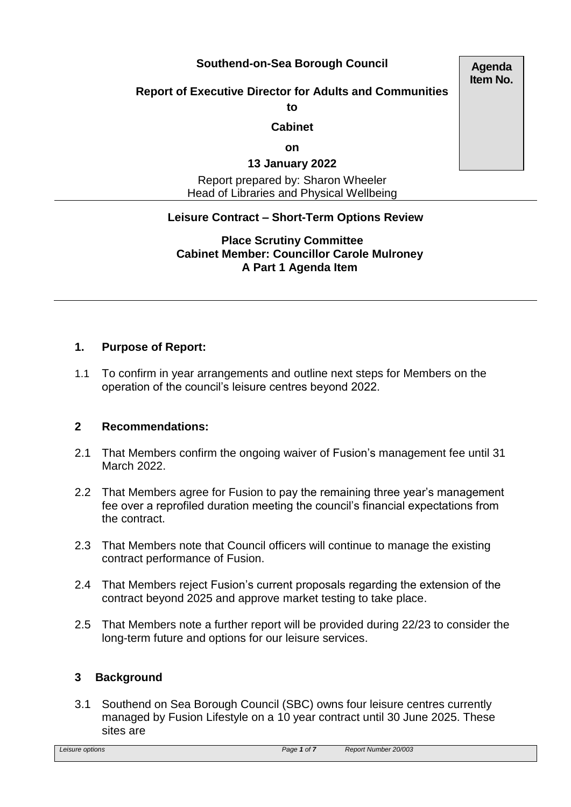## **Southend-on-Sea Borough Council**

# **Report of Executive Director for Adults and Communities**

**to**

#### **Cabinet**

**on**

### **13 January 2022**

Report prepared by: Sharon Wheeler Head of Libraries and Physical Wellbeing

## **Leisure Contract – Short-Term Options Review**

#### **Place Scrutiny Committee Cabinet Member: Councillor Carole Mulroney A Part 1 Agenda Item**

## **1. Purpose of Report:**

1.1 To confirm in year arrangements and outline next steps for Members on the operation of the council's leisure centres beyond 2022.

#### **2 Recommendations:**

- 2.1 That Members confirm the ongoing waiver of Fusion's management fee until 31 March 2022.
- 2.2 That Members agree for Fusion to pay the remaining three year's management fee over a reprofiled duration meeting the council's financial expectations from the contract.
- 2.3 That Members note that Council officers will continue to manage the existing contract performance of Fusion.
- 2.4 That Members reject Fusion's current proposals regarding the extension of the contract beyond 2025 and approve market testing to take place.
- 2.5 That Members note a further report will be provided during 22/23 to consider the long-term future and options for our leisure services.

#### **3 Background**

3.1 Southend on Sea Borough Council (SBC) owns four leisure centres currently managed by Fusion Lifestyle on a 10 year contract until 30 June 2025. These sites are

**Agenda Item No.**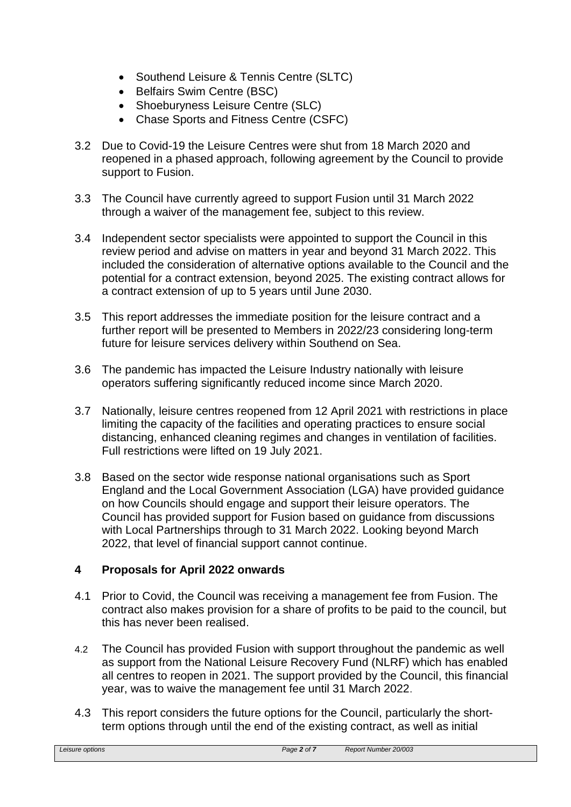- Southend Leisure & Tennis Centre (SLTC)
- Belfairs Swim Centre (BSC)
- Shoeburyness Leisure Centre (SLC)
- Chase Sports and Fitness Centre (CSFC)
- 3.2 Due to Covid-19 the Leisure Centres were shut from 18 March 2020 and reopened in a phased approach, following agreement by the Council to provide support to Fusion.
- 3.3 The Council have currently agreed to support Fusion until 31 March 2022 through a waiver of the management fee, subject to this review.
- 3.4 Independent sector specialists were appointed to support the Council in this review period and advise on matters in year and beyond 31 March 2022. This included the consideration of alternative options available to the Council and the potential for a contract extension, beyond 2025. The existing contract allows for a contract extension of up to 5 years until June 2030.
- 3.5 This report addresses the immediate position for the leisure contract and a further report will be presented to Members in 2022/23 considering long-term future for leisure services delivery within Southend on Sea.
- 3.6 The pandemic has impacted the Leisure Industry nationally with leisure operators suffering significantly reduced income since March 2020.
- 3.7 Nationally, leisure centres reopened from 12 April 2021 with restrictions in place limiting the capacity of the facilities and operating practices to ensure social distancing, enhanced cleaning regimes and changes in ventilation of facilities. Full restrictions were lifted on 19 July 2021.
- 3.8 Based on the sector wide response national organisations such as Sport England and the Local Government Association (LGA) have provided guidance on how Councils should engage and support their leisure operators. The Council has provided support for Fusion based on guidance from discussions with Local Partnerships through to 31 March 2022. Looking beyond March 2022, that level of financial support cannot continue.

## **4 Proposals for April 2022 onwards**

- 4.1 Prior to Covid, the Council was receiving a management fee from Fusion. The contract also makes provision for a share of profits to be paid to the council, but this has never been realised.
- 4.2 The Council has provided Fusion with support throughout the pandemic as well as support from the National Leisure Recovery Fund (NLRF) which has enabled all centres to reopen in 2021. The support provided by the Council, this financial year, was to waive the management fee until 31 March 2022.
- 4.3 This report considers the future options for the Council, particularly the shortterm options through until the end of the existing contract, as well as initial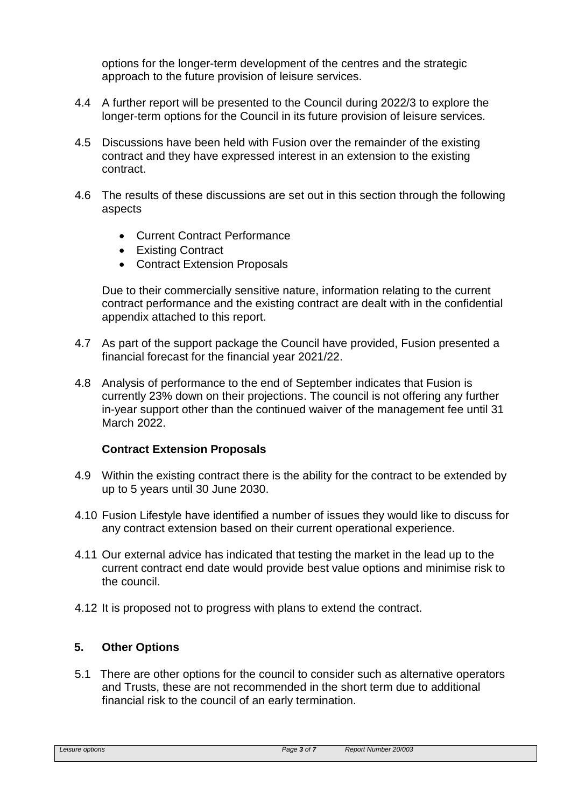options for the longer-term development of the centres and the strategic approach to the future provision of leisure services.

- 4.4 A further report will be presented to the Council during 2022/3 to explore the longer-term options for the Council in its future provision of leisure services.
- 4.5 Discussions have been held with Fusion over the remainder of the existing contract and they have expressed interest in an extension to the existing contract.
- 4.6 The results of these discussions are set out in this section through the following aspects
	- Current Contract Performance
	- Existing Contract
	- Contract Extension Proposals

Due to their commercially sensitive nature, information relating to the current contract performance and the existing contract are dealt with in the confidential appendix attached to this report.

- 4.7 As part of the support package the Council have provided, Fusion presented a financial forecast for the financial year 2021/22.
- 4.8 Analysis of performance to the end of September indicates that Fusion is currently 23% down on their projections. The council is not offering any further in-year support other than the continued waiver of the management fee until 31 March 2022.

## **Contract Extension Proposals**

- 4.9 Within the existing contract there is the ability for the contract to be extended by up to 5 years until 30 June 2030.
- 4.10 Fusion Lifestyle have identified a number of issues they would like to discuss for any contract extension based on their current operational experience.
- 4.11 Our external advice has indicated that testing the market in the lead up to the current contract end date would provide best value options and minimise risk to the council.
- 4.12 It is proposed not to progress with plans to extend the contract.

#### **5. Other Options**

5.1 There are other options for the council to consider such as alternative operators and Trusts, these are not recommended in the short term due to additional financial risk to the council of an early termination.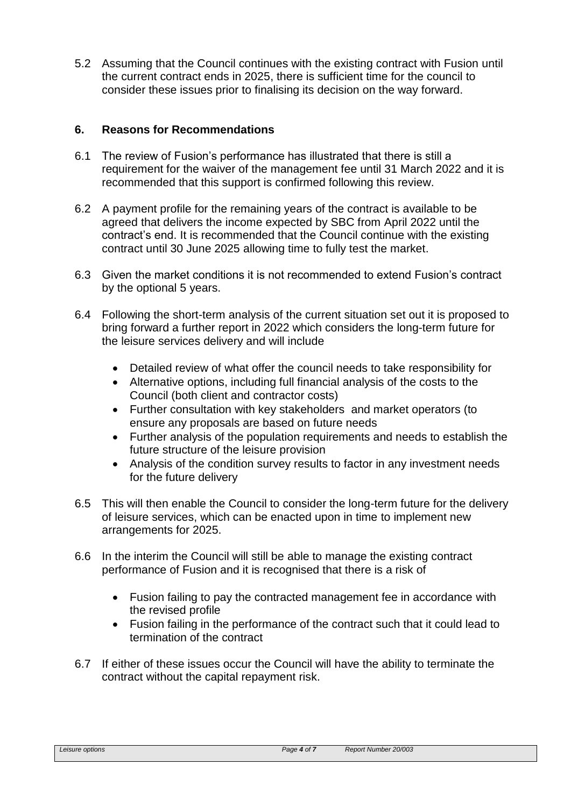5.2 Assuming that the Council continues with the existing contract with Fusion until the current contract ends in 2025, there is sufficient time for the council to consider these issues prior to finalising its decision on the way forward.

### **6. Reasons for Recommendations**

- 6.1 The review of Fusion's performance has illustrated that there is still a requirement for the waiver of the management fee until 31 March 2022 and it is recommended that this support is confirmed following this review.
- 6.2 A payment profile for the remaining years of the contract is available to be agreed that delivers the income expected by SBC from April 2022 until the contract's end. It is recommended that the Council continue with the existing contract until 30 June 2025 allowing time to fully test the market.
- 6.3 Given the market conditions it is not recommended to extend Fusion's contract by the optional 5 years.
- 6.4 Following the short-term analysis of the current situation set out it is proposed to bring forward a further report in 2022 which considers the long-term future for the leisure services delivery and will include
	- Detailed review of what offer the council needs to take responsibility for
	- Alternative options, including full financial analysis of the costs to the Council (both client and contractor costs)
	- Further consultation with key stakeholders and market operators (to ensure any proposals are based on future needs
	- Further analysis of the population requirements and needs to establish the future structure of the leisure provision
	- Analysis of the condition survey results to factor in any investment needs for the future delivery
- 6.5 This will then enable the Council to consider the long-term future for the delivery of leisure services, which can be enacted upon in time to implement new arrangements for 2025.
- 6.6 In the interim the Council will still be able to manage the existing contract performance of Fusion and it is recognised that there is a risk of
	- Fusion failing to pay the contracted management fee in accordance with the revised profile
	- Fusion failing in the performance of the contract such that it could lead to termination of the contract
- 6.7 If either of these issues occur the Council will have the ability to terminate the contract without the capital repayment risk.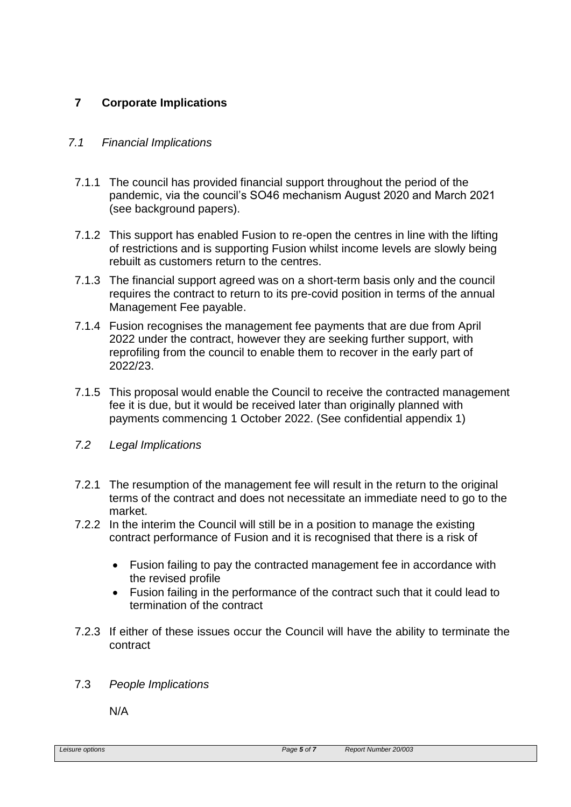# **7 Corporate Implications**

### *7.1 Financial Implications*

- 7.1.1 The council has provided financial support throughout the period of the pandemic, via the council's SO46 mechanism August 2020 and March 2021 (see background papers).
- 7.1.2 This support has enabled Fusion to re-open the centres in line with the lifting of restrictions and is supporting Fusion whilst income levels are slowly being rebuilt as customers return to the centres.
- 7.1.3 The financial support agreed was on a short-term basis only and the council requires the contract to return to its pre-covid position in terms of the annual Management Fee payable.
- 7.1.4 Fusion recognises the management fee payments that are due from April 2022 under the contract, however they are seeking further support, with reprofiling from the council to enable them to recover in the early part of 2022/23.
- 7.1.5 This proposal would enable the Council to receive the contracted management fee it is due, but it would be received later than originally planned with payments commencing 1 October 2022. (See confidential appendix 1)
- *7.2 Legal Implications*
- 7.2.1 The resumption of the management fee will result in the return to the original terms of the contract and does not necessitate an immediate need to go to the market.
- 7.2.2 In the interim the Council will still be in a position to manage the existing contract performance of Fusion and it is recognised that there is a risk of
	- Fusion failing to pay the contracted management fee in accordance with the revised profile
	- Fusion failing in the performance of the contract such that it could lead to termination of the contract
- 7.2.3 If either of these issues occur the Council will have the ability to terminate the contract
- 7.3 *People Implications*

N/A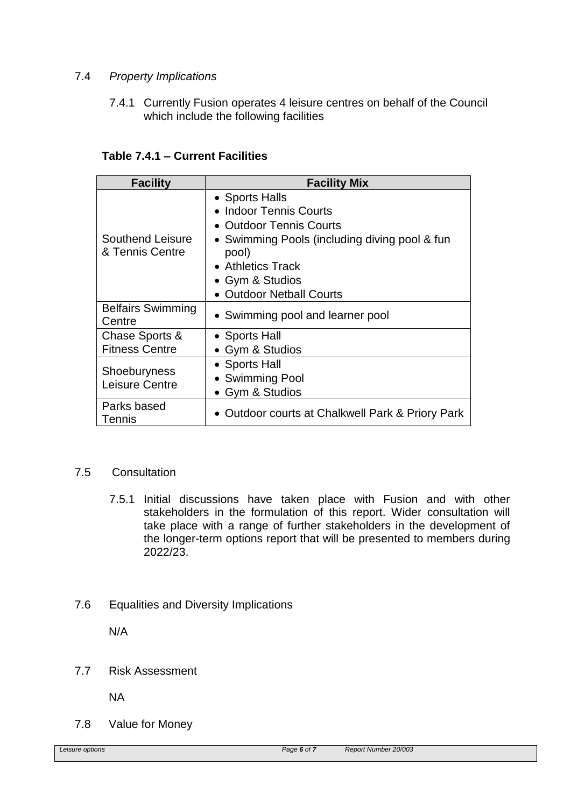### 7.4 *Property Implications*

7.4.1 Currently Fusion operates 4 leisure centres on behalf of the Council which include the following facilities

## **Table 7.4.1 – Current Facilities**

| <b>Facility</b>                         | <b>Facility Mix</b>                                                                                                                                                                               |
|-----------------------------------------|---------------------------------------------------------------------------------------------------------------------------------------------------------------------------------------------------|
| Southend Leisure<br>& Tennis Centre     | • Sports Halls<br>• Indoor Tennis Courts<br>• Outdoor Tennis Courts<br>• Swimming Pools (including diving pool & fun<br>pool)<br>• Athletics Track<br>• Gym & Studios<br>• Outdoor Netball Courts |
| <b>Belfairs Swimming</b><br>Centre      | • Swimming pool and learner pool                                                                                                                                                                  |
| Chase Sports &<br><b>Fitness Centre</b> | • Sports Hall<br>• Gym & Studios                                                                                                                                                                  |
| Shoeburyness<br>Leisure Centre          | • Sports Hall<br>• Swimming Pool<br>• Gym & Studios                                                                                                                                               |
| Parks based<br>Tennis                   | • Outdoor courts at Chalkwell Park & Priory Park                                                                                                                                                  |

### 7.5 Consultation

7.5.1 Initial discussions have taken place with Fusion and with other stakeholders in the formulation of this report. Wider consultation will take place with a range of further stakeholders in the development of the longer-term options report that will be presented to members during 2022/23.

#### 7.6 Equalities and Diversity Implications

N/A

7.7 Risk Assessment

NA

7.8 Value for Money